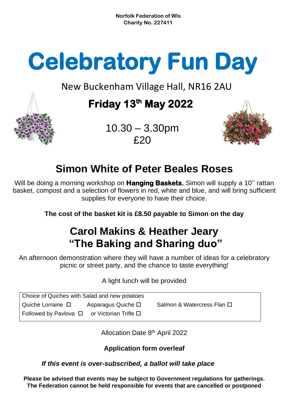**Norfolk Federation of WIs Charity No. 227411**

# **Celebratory Fun Day**

New Buckenham Village Hall, NR16 2AU

## **Friday 13th May 2022**



 10.30 – 3.30pm  $f20$ 

# **Simon White of Peter Beales Roses**

Will be doing a morning workshop on **Hanging Baskets.** Simon will supply a 10'' rattan basket, compost and a selection of flowers in red, white and blue, and will bring sufficient supplies for everyone to have their choice.

**The cost of the basket kit is £8.50 payable to Simon on the day**

## **Carol Makins & Heather Jeary "The Baking and Sharing duo"**

An afternoon demonstration where they will have a number of ideas for a celebratory picnic or street party, and the chance to taste everything!

A light lunch will be provided

| Choice of Quiches with Salad and new potatoes         |                            |                            |  |  |  |
|-------------------------------------------------------|----------------------------|----------------------------|--|--|--|
| Quiche Lorraine □                                     | Asparagus Quiche $\square$ | Salmon & Watercress Flan □ |  |  |  |
| Followed by Pavlova $\Box$ or Victorian Trifle $\Box$ |                            |                            |  |  |  |

Allocation Date 8<sup>th</sup> April 2022

**Application form overleaf**

#### *If this event is over-subscribed, a ballot will take place*

**Please be advised that events may be subject to Government regulations for gatherings. The Federation cannot be held responsible for events that are cancelled or postponed**